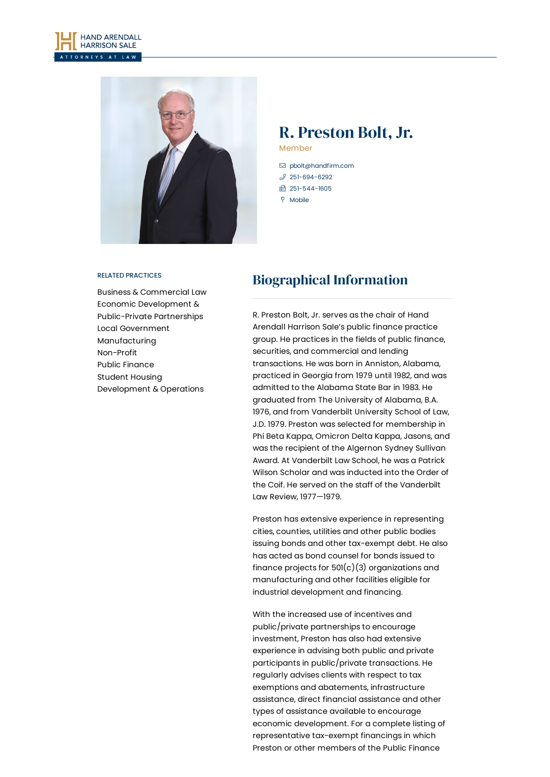



# R. Preston Bolt, Jr.

Member

- [pbolt@handfirm.com](mailto:pbolt@handfirm.com)  $$251-694-6292$  $$251-694-6292$ □ 251-544-1605  $\degree$  Mobile
- 

#### RELATED PRACTICES

Business & [Commercial](https://www.handfirm.com/practices/business-services/business-commercial-law/) Law Economic Development & [Public-Private](https://www.handfirm.com/practices/business-services/economic-development-public-private-partnerships/) Partnerships Local [Government](https://www.handfirm.com/practices/business-services/local-government/) [Manufacturing](https://www.handfirm.com/practices/industries/manufacturing/) [Non-Profit](https://www.handfirm.com/practices/industries/non-profit/) Public [Finance](https://www.handfirm.com/practices/business-services/public-finance/) Student Housing [Development](https://www.handfirm.com/practices/industries/student-housing-development-operations/) & Operations

# Biographical Information

R. Preston Bolt, Jr. serves as the chair of Hand Arendall Harrison Sale's public finance practice group. He practices in the fields of public finance, securities, and commercial and lending transactions. He was born in Anniston, Alabama, practiced in Georgia from 1979 until 1982, and was admitted to the Alabama State Bar in 1983. He graduated from The University of Alabama, B.A. 1976, and from Vanderbilt University School of Law, J.D. 1979. Preston was selected for membership in Phi Beta Kappa, Omicron Delta Kappa, Jasons, and was the recipient of the Algernon Sydney Sullivan Award. At Vanderbilt Law School, he was a Patrick Wilson Scholar and was inducted into the Order of the Coif. He served on the staff of the Vanderbilt Law Review, 1977—1979.

Preston has extensive experience in representing cities, counties, utilities and other public bodies issuing bonds and other tax-exempt debt. He also has acted as bond counsel for bonds issued to finance projects for  $501(c)(3)$  organizations and manufacturing and other facilities eligible for industrial development and financing.

With the increased use of incentives and public/private partnerships to encourage investment, Preston has also had extensive experience in advising both public and private participants in public/private transactions. He regularly advises clients with respect to tax exemptions and abatements, infrastructure assistance, direct financial assistance and other types of assistance available to encourage economic development. For a complete listing of representative tax-exempt financings in which Preston or other members of the Public Finance